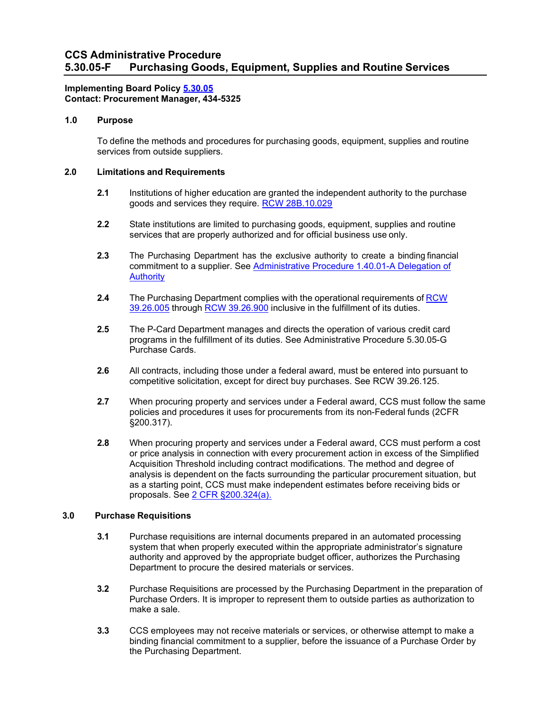# **Implementing Board Policy [5.30.05](https://ccs.spokane.edu/About-Us/Leadership/Board-of-Trustees/Policies-Procedures/Chapter5#AccWE2-11) Contact: Procurement Manager, 434-5325**

# **1.0 Purpose**

To define the methods and procedures for purchasing goods, equipment, supplies and routine services from outside suppliers.

# **2.0 Limitations and Requirements**

- **2.1** Institutions of higher education are granted the independent authority to the purchase goods and services they require. RCW [28B.10.029](http://apps.leg.wa.gov/RCW/default.aspx?cite=28B.10.029)
- **2.2** State institutions are limited to purchasing goods, equipment, supplies and routine services that are properly authorized and for official business use only.
- **2.3** The Purchasing Department has the exclusive authority to create a binding financi[al](https://ccs.spokane.edu/ccsglobal/media/Global/PDFs/District/Policies/CH1/1-40-01A_DelegationAuthority.pdf) commitment to a supplier. See [Administrative Procedure 1.40.01-A Delegation of](https://ccs.spokane.edu/ccsglobal/media/Global/PDFs/District/Policies/CH1/1-40-01A_DelegationAuthority.pdf) **[Authority](https://ccs.spokane.edu/ccsglobal/media/Global/PDFs/District/Policies/CH1/1-40-01A_DelegationAuthority.pdf)**
- **2.4** The Purchasing Department complies with the operational requirements of [RCW](http://apps.leg.wa.gov/RCW/default.aspx?cite=43.19.1906) 39.26.005 through RCW [39.26.900](https://app.leg.wa.gov/rcw/default.aspx?cite=39.26.900) inclusive in the fulfillment of its duties.
- **2.5** The P-Card Department manages and directs the operation of various credit card programs in the fulfillment of its duties. See Administrative Procedure 5.30.05-G Purchase Cards.
- **2.6** All contracts, including those under a federal award, must be entered into pursuant to competitive solicitation, except for direct buy purchases. See RCW 39.26.125.
- **2.7** When procuring property and services under a Federal award, CCS must follow the same policies and procedures it uses for procurements from its non-Federal funds (2CFR §200.317).
- **2.8** When procuring property and services under a Federal award, CCS must perform a cost or price analysis in connection with every procurement action in excess of the Simplified Acquisition Threshold including contract modifications. The method and degree of analysis is dependent on the facts surrounding the particular procurement situation, but as a starting point, CCS must make independent estimates before receiving bids or proposals. See [2 CFR §200.324\(a\).](https://ecfr.federalregister.gov/current/title-2/subtitle-A/chapter-II/part-200/subpart-D/subject-group-ECFR1ad5506a4809976/section-200.324)

### **3.0 Purchase Requisitions**

- **3.1** Purchase requisitions are internal documents prepared in an automated processing system that when properly executed within the appropriate administrator's signature authority and approved by the appropriate budget officer, authorizes the Purchasing Department to procure the desired materials or services.
- **3.2** Purchase Requisitions are processed by the Purchasing Department in the preparation of Purchase Orders. It is improper to represent them to outside parties as authorization to make a sale.
- **3.3** CCS employees may not receive materials or services, or otherwise attempt to make a binding financial commitment to a supplier, before the issuance of a Purchase Order by the Purchasing Department.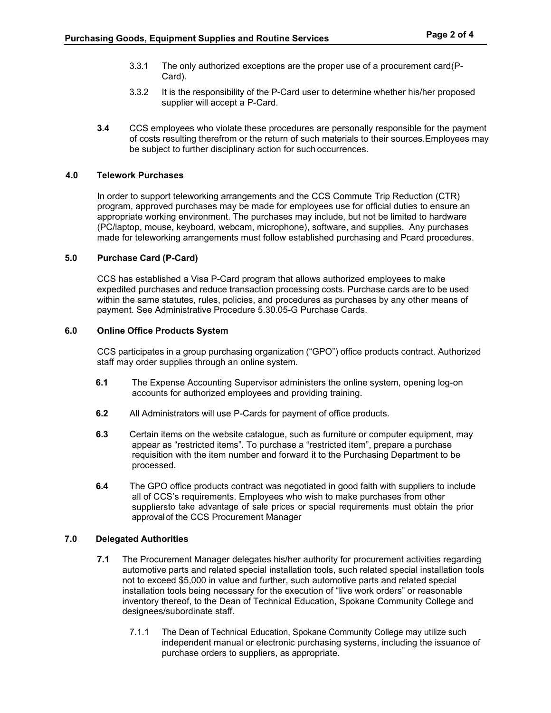- 3.3.1 The only authorized exceptions are the proper use of a procurement card(P-Card).
- 3.3.2 It is the responsibility of the P-Card user to determine whether his/her proposed supplier will accept a P-Card.
- **3.4** CCS employees who violate these procedures are personally responsible for the payment of costs resulting therefrom or the return of such materials to their sources.Employees may be subject to further disciplinary action for such occurrences.

# **4.0 Telework Purchases**

In order to support teleworking arrangements and the CCS Commute Trip Reduction (CTR) program, approved purchases may be made for employees use for official duties to ensure an appropriate working environment. The purchases may include, but not be limited to hardware (PC/laptop, mouse, keyboard, webcam, microphone), software, and supplies. Any purchases made for teleworking arrangements must follow established purchasing and Pcard procedures.

# **5.0 Purchase Card (P-Card)**

CCS has established a Visa P-Card program that allows authorized employees to make expedited purchases and reduce transaction processing costs. Purchase cards are to be used within the same statutes, rules, policies, and procedures as purchases by any other means of payment. See Administrative Procedure 5.30.05-G Purchase Cards.

# **6.0 Online Office Products System**

CCS participates in a group purchasing organization ("GPO") office products contract. Authorized staff may order supplies through an online system.

- **6.1** The Expense Accounting Supervisor administers the online system, opening log-on accounts for authorized employees and providing training.
- **6.2** All Administrators will use P-Cards for payment of office products.
- **6.3** Certain items on the website catalogue, such as furniture or computer equipment, may appear as "restricted items". To purchase a "restricted item", prepare a purchase requisition with the item number and forward it to the Purchasing Department to be processed.
- **6.4** The GPO office products contract was negotiated in good faith with suppliers to include all of CCS's requirements. Employees who wish to make purchases from other suppliersto take advantage of sale prices or special requirements must obtain the prior approval of the CCS Procurement Manager

### **7.0 Delegated Authorities**

- **7.1** The Procurement Manager delegates his/her authority for procurement activities regarding automotive parts and related special installation tools, such related special installation tools not to exceed \$5,000 in value and further, such automotive parts and related special installation tools being necessary for the execution of "live work orders" or reasonable inventory thereof, to the Dean of Technical Education, Spokane Community College and designees/subordinate staff.
	- 7.1.1 The Dean of Technical Education, Spokane Community College may utilize such independent manual or electronic purchasing systems, including the issuance of purchase orders to suppliers, as appropriate.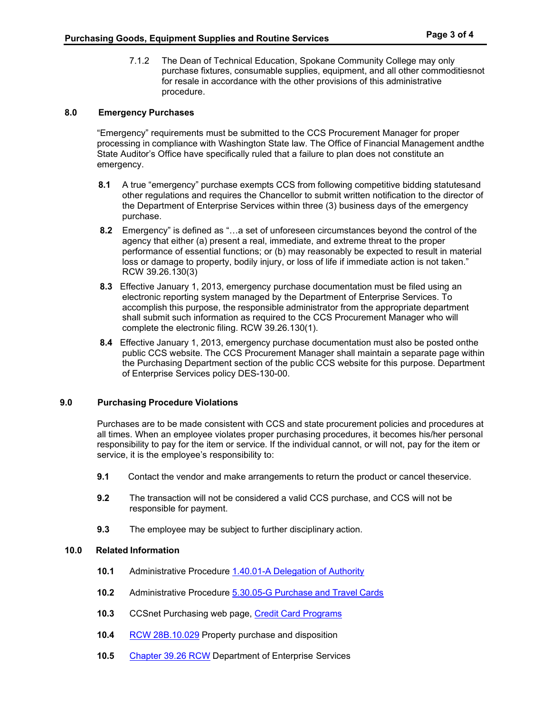7.1.2 The Dean of Technical Education, Spokane Community College may only purchase fixtures, consumable supplies, equipment, and all other commoditiesnot for resale in accordance with the other provisions of this administrative procedure.

### **8.0 Emergency Purchases**

"Emergency" requirements must be submitted to the CCS Procurement Manager for proper processing in compliance with Washington State law. The Office of Financial Management andthe State Auditor's Office have specifically ruled that a failure to plan does not constitute an emergency.

- **8.1** A true "emergency" purchase exempts CCS from following competitive bidding statutesand other regulations and requires the Chancellor to submit written notification to the director of the Department of Enterprise Services within three (3) business days of the emergency purchase.
- **8.2** Emergency" is defined as "…a set of unforeseen circumstances beyond the control of the agency that either (a) present a real, immediate, and extreme threat to the proper performance of essential functions; or (b) may reasonably be expected to result in material loss or damage to property, bodily injury, or loss of life if immediate action is not taken." RCW 39.26.130(3)
- **8.3** Effective January 1, 2013, emergency purchase documentation must be filed using an electronic reporting system managed by the Department of Enterprise Services. To accomplish this purpose, the responsible administrator from the appropriate department shall submit such information as required to the CCS Procurement Manager who will complete the electronic filing. RCW 39.26.130(1).
- **8.4** Effective January 1, 2013, emergency purchase documentation must also be posted onthe public CCS website. The CCS Procurement Manager shall maintain a separate page within the Purchasing Department section of the public CCS website for this purpose. Department of Enterprise Services policy DES-130-00.

### **9.0 Purchasing Procedure Violations**

Purchases are to be made consistent with CCS and state procurement policies and procedures at all times. When an employee violates proper purchasing procedures, it becomes his/her personal responsibility to pay for the item or service. If the individual cannot, or will not, pay for the item or service, it is the employee's responsibility to:

- **9.1** Contact the vendor and make arrangements to return the product or cancel theservice.
- **9.2** The transaction will not be considered a valid CCS purchase, and CCS will not be responsible for payment.
- **9.3** The employee may be subject to further disciplinary action.

## **10.0 Related Information**

- **10.1** Administrative Procedure 1.40.01-A [Delegation](https://ccs.spokane.edu/ccsglobal/media/Global/PDFs/District/Policies/CH1/1-40-01A_DelegationAuthority.pdf) of Authority
- **10.2** Administrative Procedure [5.30.05-G](https://ccs.spokane.edu/ccsglobal/media/Global/PDFs/District/Policies/CH5/5.30.05_InternalControl/5-30-05G_PCard.pdf) Purchase and Travel Cards
- **10.3** CCSnet Purchasing web page, Credit Card [Programs](http://ccsnet.ccs.spokane.edu/Purchasing/CUSTOM-PAGES/Credit-Card-Programs.aspx)
- **10.4** RCW [28B.10.029](http://apps.leg.wa.gov/RCW/default.aspx?cite=28B.10.029) Property purchase and disposition
- **10.5** [Chapter](http://apps.leg.wa.gov/RCW/default.aspx?cite=43.19) 39.26 RCW Department of Enterprise Services